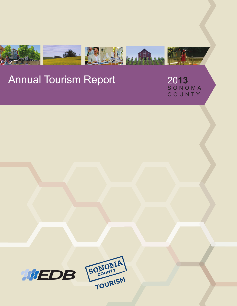

# Annual Tourism Report

20**13** S O N O M A C O U N T Y



SONIOMA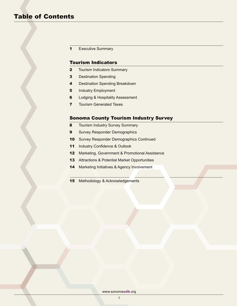1 Executive Summary

# Tourism Indicators

- **2** Tourism Indicators Summary
- **3** Destination Spending
- 4 Destination Spending Breakdown
- **5** Industry Employment
- **6** Lodging & Hospitality Assessment
- **7** Tourism Generated Taxes

# Sonoma County Tourism Industry Survey

- 8 Tourism Industry Survey Summary
- **9** Survey Responder Demographics
- 10 Survey Responder Demographics Continued
- 11 Industry Confidence & Outlook
- 12 Marketing, Government & Promotional Assistance
- 13 Attractions & Potential Market Opportunities
- 14 Marketing Initiatives & Agency Involvement
- 15 Methodology & Acknowledgements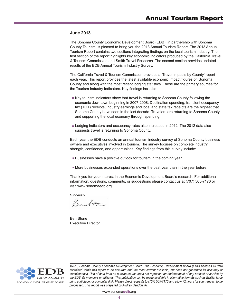#### **June 2013**

The Sonoma County Economic Development Board (EDB), in partnership with Sonoma County Tourism, is pleased to bring you the 2013 Annual Tourism Report. The 2013 Annual Tourism Report contains two sections integrating findings on the local tourism industry. The first section of the report highlights key economic indicators produced by the California Travel & Tourism Commission and Smith Travel Research. The second section provides updated results of the EDB Annual Tourism Industry Survey.

The California Travel & Tourism Commission provides a 'Travel Impacts by County' report each year. This report provides the latest available economic impact figures on Sonoma County and along with the most recent lodging statistics. These are the primary sources for the Tourism Industry Indicators. Key findings include:

- Key tourism indicators show that travel is returning to Sonoma County following the economic downtown beginning in 2007-2008. Destination spending, transient occupancy tax (TOT) receipts, industry earnings and local and state tax receipts are the highest that Sonoma County have seen in the last decade. Travelers are returning to Sonoma County and supporting the local economy through spending.
- **Lodging indicators and occupancy rates also increased in 2012. The 2012 data also** suggests travel is returning to Sonoma County.

Each year the EDB conducts an annual tourism industry survey of Sonoma County business owners and executives involved in tourism. The survey focuses on complete industry strength, confidence, and opportunities. Key findings from this survey include:

- Businesses have a positive outlook for tourism in the coming year.
- More businesses expanded operations over the past year than in the year before.

Thank you for your interest in the Economic Development Board's research. For additional information, questions, comments, or suggestions please contact us at (707) 565-7170 or visit www.sonomaedb.org.

**Sincerely** 

Bertene

Ben Stone Executive Director



*©2013 Sonoma County Economic Development Board. The Economic Development Board (EDB) believes all data contained within this report to be accurate and the most current available, but does not guarantee its accuracy or completeness. Use of data from an outside source does not represent an endorsement of any product or service by the EDB, its members or affiliates. This publication can be made available in alternative formats such as Braille, large print, audiotape, or computer disk. Please direct requests to (707) 565-7170 and allow 72 hours for your request to be processed. This report was prepared by Audrey Bendowski.*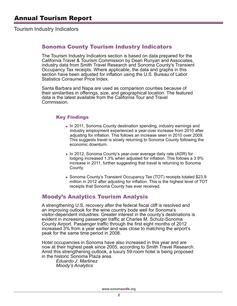Tourism Industry Indicators

# Sonoma County Tourism Industry Indicators

The Tourism Industry Indicators section is based on data prepared for the California Travel & Tourism Commission by Dean Runyan and Associates, industry data from Smith Travel Research and Sonoma County's Transient Occupancy Tax receipts. Where applicable, the data and graphs in this section have been adjusted for inflation using the U.S. Bureau of Labor Statistics Consumer Price Index.

Santa Barbara and Napa are used as comparison counties because of their similarities in offerings, size, and geographical location. The featured data is the latest available from the California Tour and Travel Commission.

# Key Findings

- $\blacksquare$  In 2011, Sonoma County destination spending, industry earnings and industry employment experienced a year-over increase from 2010 after adjusting for inflation. This follows an increase seen in 2010 over 2009. This suggests travel is slowly returning to Sonoma County following the economic downturn.
- In 2012, Sonoma County's year-over average daily rate (ADR) for lodging increased 1.3% when adjusted for inflation. This follows a 3.9% increase in 2011, further suggesting that travel is returning to Sonoma County.
- Sonoma County's Transient Occupancy Tax (TOT) receipts totaled \$23.9 million in 2012 after adjusting for inflation. This is the highest level of TOT receipts that Sonoma County has ever received.

# Moody's Analytics Tourism Analysis

A strengthening U.S. recovery after the federal fiscal cliff is resolved and an improving outlook for the wine country bode well for Sonoma's visitor-dependent industries. Greater interest in the county's destinations is evident in increasing passenger traffic at Charles M. Schulz-Sonoma County Airport. Passenger traffic through the first eight months of 2012 increased 3% from a year earlier and was close to matching the airport's peak for the same time period in 2008.

Hotel occupancies in Sonoma have also increased in this year and are now at their highest peak since 2005, according to Smith Travel Research. Amid this strengthening outlook, a luxury 59-room hotel is being proposed in the historic Sonoma Plaza area.

 *Eduardo J. Martinez Moody's Analytics*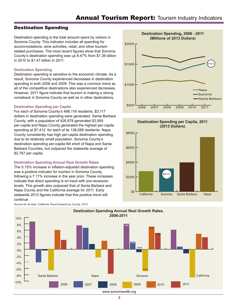# Destination Spending

Destination spending is the total amount spent by visitors in Sonoma County. This indicator includes all spending for accommodations, wine activities, retail, and other tourism related purchases. The most recent figures show that Sonoma County's destination spending was up 8.47% from \$1.36 billion in 2010 to \$1.47 billion in 2011.

## **Destination Spending**

Destination spending is sensitive to the economic climate. As a result, Sonoma County experienced decreases in destination spending in both 2008 and 2009. This was a common trend as all of the competitive destinations also experienced decreases. However, 2011 figure indicate that tourism is making a strong comeback in Sonoma County as well as in other destinations.

## **Destination Spending per Capita**

For each of Sonoma County's 488,116 residents, \$3,117 dollars in destination spending were generated. Santa Barbara County, with a population of 426,878 generated \$3,955 per-capita and Napa County generated the highest per-capita spending at \$7,412. for each of its 138,088 residents. Napa County consistently has high per-capita destination spending due to its relatively small population. Sonoma County's destination spending per-capita fell short of Napa and Santa Barbara Counties, but outpaced the statewide average of \$2,767 per capita.

#### **Destination Spending Annual Real Growth Rates**

The 5.15% increase in inflation-adjusted destination spending was a positive indicator for tourism in Sonoma County, following a 7.11% increase in the year prior. These increases indicate that direct spending is on track with pre-recession levels. This growth also outpaced that of Santa Barbara and Napa County and the California average for 2011. Early statewide 2012 figures indicate that this positive trend will continue .



#### *Source for all data: California Travel Impacts by County, 2013*



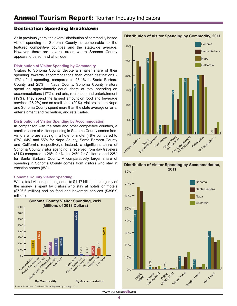# Destination Spending Breakdown

As in previous years, the overall distribution of commodity based visitor spending in Sonoma County is comparable to the featured competitive counties and the statewide average. However, there are several areas where Sonoma County appears to be somewhat unique.

## **Distribution of Visitor Spending by Commodity**

Visitors to Sonoma County devote a smaller share of their spending towards accommodations than other destinations - 17% of all spending, compared to 23.4% in Santa Barbara County and 25% in Napa County. Sonoma County visitors spend an approximately equal share of total spending on accommodations (17%), and arts, recreation and entertainment (19%). They spend the largest amount on food and beverage services (26.2%) and on retail sales (20%). Visitors to both Napa and Sonoma County spend more than the state average on arts, entertainment and recreation, and retail sales.

#### **Distribution of Visitor Spending by Accommodation**

In comparison with the state and other competitive counties, a smaller share of visitor spending in Sonoma County comes from visitors who are staying in a hotel or motel (48% compared to 67%, 64% and 55% for Napa County, Santa Barbara County and California, respectively). Instead, a significant share of Sonoma County visitor spending is received from day travelers (31%) compared to 26% for Napa, 24% for California and 22% for Santa Barbara County. A comparatively larger share of spending in Sonoma County comes from visitors who stay in vacation homes (8%).

#### **Sonoma County Visitor Spending**

With a total visitor spending equal to \$1.47 billion, the majority of the money is spent by visitors who stay at hotels or motels (\$726.6 million) and on food and beverage services (\$396.9 million).





# **Distribution of Visitor Spending by Accommodation,**



**Distribution of Visitor Spending by Commodity, 2011**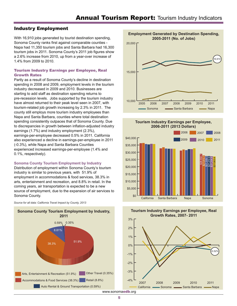# Industry Employment

With 16,910 jobs generated by tourist destination spending, Sonoma County ranks first against comparable counties - Napa had 11,350 tourism jobs and Santa Barbara had 16,300 tourism jobs in 2011. Sonoma County's 2011 job figures show a 2.6% increase from 2010, up from a year-over increase of 1.4% from 2009 to 2010.

# Tourism Industry Earnings per Employee, Real Growth Rates

Partly as a result of Sonoma County's decline in destination spending in 2008 and 2009, employment levels in the tourism industry decreased in 2009 and 2010. Businesses are starting to add staff as destination spending returns to pre-recession levels. Jobs supported by the tourism industry have almost returned to their peak level seen in 2007, with tourism-related job growth increasing by 2.3% in 2011. The county still employs more tourism industry employees than Napa and Santa Barbara, counties where total destination spending consistently outpaces that of Sonoma County. Due to discrepancies in growth between inflation-adjusted industry earnings (1.7%) and industry employment (2.3%), earnings-per-employee decreased 0.5% in 2011. California also experienced a decline in earnings-per-employee in 2011 (-0.3%), while Napa and Santa Barbara Counties experienced increased earnings-per-employee (1.4% and 0.1%, respectively).

#### **Sonoma County Tourism Employment by Industry**

Distribution of employment within Sonoma County's tourism industry is similar to previous years, with 51.9% of employment in accommodations & food services, 38.3% in arts, entertainment and recreation, and 8.8% in retail. In the coming years, air transportation is expected to be a new source of employment, due to the expansion of air services to Sonoma County.

*Source for all data: California Travel Impact by County, 2013*





**Tourism Industry Earnings per Employee, 2006-2011 (2013 Dollars)**



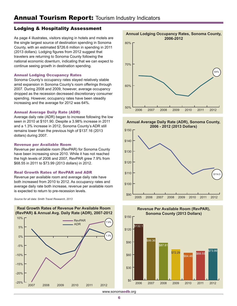# Lodging & Hospitality Assessment

As page 4 illustrates, visitors staying in hotels and motels are the single largest source of destination spending in Sonoma County, with an estimated \$726.6 million in spending in 2011 (2013 dollars). Lodging figures from 2012 suggest that travelers are returning to Sonoma County following the national economic downturn, indicating that we can expect to continue seeing growth in destination spending.

## Annual Lodging Occupancy Rates

Sonoma County's occupancy rates stayed relatively stable amid expansion in Sonoma County's room offerings through 2007. During 2008 and 2009, however, average occupancy dropped as the recession decreased discretionary consumer spending. However, occupancy rates have been steadily increasing and the average for 2012 was 64%.

## Annual Average Daily Rate (ADR)

Average daily rate (ADR) began to increase following the low seen in 2010 at \$101.90. Despite a 3.98% increase in 2011 and a 1.3% increase in 2012, Sonoma County's ADR still remains lower than the previous high of \$137.16 (2013 dollars) during 2007.

#### Revenue per Available Room

Revenue per available room (RevPAR) for Sonoma County have been increasing since 2010. While it has not reached the high levels of 2006 and 2007, RevPAR grew 7.9% from \$68.55 in 2011 to \$73.99 (2013 dollars) in 2012.

#### Real Growth Rates of RevPAR and ADR

Revenue per available room and average daily rate have both increased from 2010 to 2012. As occupancy rates and average daily rate both increase, revenue per available room is expected to return to pre-recession levels.

*Source for all data: Smith Travel Research, 2013*





**Annual Average Daily Rate (ADR), Sonoma County, 2006 - 2012 (2013 Dollars)**





**Revenue Per Available Room (RevPAR), Sonoma County (2013 Dollars)**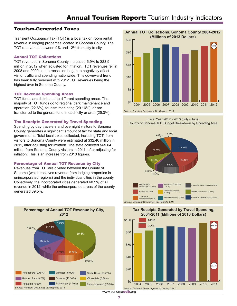# Tourism-Generated Taxes

Transient Occupancy Tax (TOT) is a local tax on room rental revenue in lodging properties located in Sonoma County. The TOT rate varies between 9% and 12% from city to city.

## Annual TOT Collections

TOT revenues in Sonoma County increased 6.9% to \$23.9 million in 2012 when adjusted for inflation. TOT revenues fell in 2008 and 2009 as the recession began to negatively affect visitor traffic and spending nationwide. This downward trend has been fully reversed with 2012 TOT revenues being the highest ever in Sonoma County.

## TOT Revenue Spending Areas

TOT funds are distributed to different spending areas. The majority of TOT funds go to regional park maintenance and operation (22.6%), tourism marketing (20.16%), or are transferred to the general fund in each city or area (25.3%).

# Tax Receipts Generated by Travel Spending

Spending by day travelers and overnight visitors to Sonoma County generates a significant amount of tax for state and local governments. Total local taxes collected, including TOT, from visitors to Sonoma County were estimated at \$32.46 million in 2011, after adjusting for inflation. The state collected \$65.64 million from Sonoma County visitors in 2011, after adjusting for inflation. This is an increase from 2010 figures.

# Percentage of Annual TOT Revenue by City

Revenues from TOT are divided between the County of Sonoma (which receives revenue from lodging properties in unincorporated regions) and the individual cities in the county. Collectively, the incorporated cities generated 60.5% of all revenue in 2012, while the unincorporated areas of the county generated 39.5%.



**Annual TOT Collections, Sonoma County 2004-2012 (Millions of 2013 Dollars)**



*Source: Transient Occupancy Tax Reports, 2013*







# **Tax Receipts Generated by Travel Spending, 2004-2011 (Millions of 2013 Dollars)**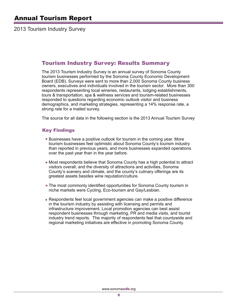2013 Tourism Industry Survey

# Tourism Industry Survey: Results Summary

The 2013 Tourism Industry Survey is an annual survey of Sonoma County tourism businesses performed by the Sonoma County Economic Development Board (EDB). Surveys were sent to more than 2,000 Sonoma County business owners, executives and individuals involved in the tourism sector. More than 300 respondents representing local wineries, restaurants, lodging establishments, tours & transportation, spa & wellness services and tourism-related businesses responded to questions regarding economic outlook visitor and business demographics, and marketing strategies, representing a 14% response rate, a strong rate for a mailed survey.

The source for all data in the following section is the 2013 Annual Tourism Survey

# Key Findings

- Businesses have a positive outlook for tourism in the coming year. More tourism businesses feel optimistic about Sonoma County's tourism industry than reported in previous years, and more businesses expanded operations over the past year than in the year before.
- Most respondents believe that Sonoma County has a high potential to attract visitors overall; and the diversity of attractions and activities, Sonoma County's scenery and climate, and the county's culinary offerings are its greatest assets besides wine reputation/culture.
- The most commonly identified opportunities for Sonoma County tourism in niche markets were Cycling, Eco-tourism and Gay/Lesbian.
- Respondents feel local government agencies can make a positive difference in the tourism industry by assisting with licensing and permits and infrastructure improvement. Local promotion agencies can best assist respondent businesses through marketing, PR and media visits, and tourist industry trend reports. The majority of respondents feel that countywide and regional marketing initiatives are effective in promoting Sonoma County.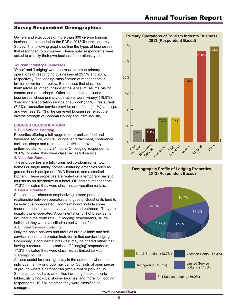# Survey Respondent Demographics

Owners and executives of more than 300 diverse tourism businesses responded to the EDB's 2013 Tourism Industry Survey. The following graphs outline the types of businesses that responded to our survey, Please note: respondents were asked to classify their own business/ operations type.

#### **Tourism Industry Businesses**

'Other' and 'Lodging' were the most common primary operations of responding businesses at 29.5% and 28%, respectively. The lodging classification of respondents is broken down further below. Businesses that classified themselves as 'other' include art galleries, museums, visitor centers and retail shops. Other respondents included businesses whose primary operations were 'winery' (19.8%), 'tour and transportation service or support' (7.5%), 'restaurant' (7.5%), 'recreation service provider or outfitter' (4.1%), and 'spa and wellness' (3.7%).The surveyed businesses reflect the diverse strength of Sonoma County's tourism industry.

#### **LODGING CLASSIFICATIONS**

## **1. Full Service Lodging**

Properties offering a full range of on-premises food and beverage service, cocktail lounge, entertainment, conference facilities, shops and recreational activities provided by uniformed staff on duty 24 hours. Of 'lodging' respondents, 36.0% indicated they were classified as full service.

#### **2. Vacation Rentals**

These properties are fully-furnished condominiums, town homes or single family homes - featuring amenities such as games, beach equipment, DVD libraries, and a stocked kitchen. These properties are rented on a temporary basis to tourists as an alternative to a hotel. Of 'lodging' respondents, 17.3% indicated they were classified as vacation rentals.

## **3. Bed & Breakfast**

Smaller establishments emphasizing a more personal relationship between operators and guests. Guest units tend to be individually decorated. Rooms may not include some modern amenities and may have a shared bathroom. They are usually owner-operated. A continental or full hot breakfast is included in the room rate. Of 'lodging' respondents, 18.7% indicated they were classified as bed & breakfasts.

#### **4. Limited Service Lodging**

Only the basic services and facilities are available and selfservice aspects are predominate for limited service lodging. Commonly, a continental breakfast may be offered rather than having a restaurant on premises. Of 'lodging' respondents, 17.3% indicated they were classified as limited service. **5. Campground**

A place useful for overnight stay in the outdoors, where an individual, family or group may camp. Consists of open pieces of ground where a camper can pitch a tent or park an RV. Some campsites have amenities including fire pits, picnic tables, utility hookups, shower facilities, and more. Of 'lodging' respondents, 10.7% indicated they were classified as campground.



#### **Primary Operations of Tourism Industry Business, 2013 (Respondent Based)**

## **Demographic Profile of Lodging Properties, 2013 (Respondent Based)**

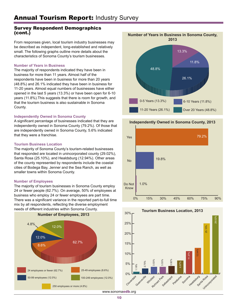# Survey Respondent Demographics (cont.)

From responses given, local tourism industry businesses may be described as independent, long-established and relatively small. The following graphs outline more details about the characteristics of Sonoma County's tourism businesses.

## **Number of Years in Business**

The majority of respondents indicated they have been in business for more than 11 years. Almost half of the respondents have been in business for more than 20 years (48.8%) and 26.1% indicated they have been in business for 11-20 years. Almost equal numbers of businesses have either opened in the last 5 years (13.3%) or have been open for 6-10 years (11.8%).This suggests that there is room for growth, and that the tourism business is also sustainable in Sonoma County.

# **Independently Owned in Sonoma County**

A significant percentage of businesses indicated that they are independently owned in Sonoma County (79.2%). Of those that are independently owned in Sonoma County, 5.6% indicated that they were a franchise.

## **Tourism Business Location**

The majority of Sonoma County's tourism-related businesses that responded are located in unincorporated county (29.02%), Santa Rosa (25.10%), and Healdsburg (12.94%). Other areas of the county represented by respondents include the coastal cities of Bodega Bay, Jenner and the Sea Ranch, as well as smaller towns within Sonoma County.

# **Number of Employees**

The majority of tourism businesses in Sonoma County employ 24 or fewer people (62.7%). On average, 50% of employees at business who employ 24 or fewer employees are part time. There was a significant variance in the reported part-to-full time mix by all respondents, reflecting the diverse employment needs of different industries within Sonoma County.





# **Independently Owned in Sonoma County, 2013**



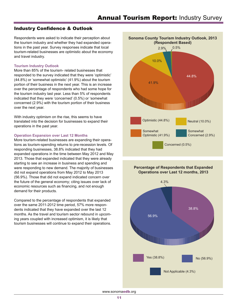# Industry Confidence & Outlook

Respondents were asked to indicate their perception about the tourism industry and whether they had expanded operations in the past year. Survey responses indicate that local tourism-related businesses are optimistic about the economy and travel industry.

#### **Tourism Industry Outlook**

More than 85% of the tourism- related businesses that responded to the survey indicated that they were 'optimistic' (44.8%) or 'somewhat optimistic' (41.9%) about the tourism portion of their business in the next year. This is an increase over the percentage of respondents who had some hope for the tourism industry last year. Less than 5% of respondents indicated that they were 'concerned' (0.5%) or 'somewhat concerned (2.9%) with the tourism portion of their business over the next year.

With industry optimism on the rise, this seems to have translated into the decision for businesses to expand their operations in the past year.

## **Operation Expansion over Last 12 Months**

More tourism-related businesses are expanding their operations as tourism-spending returns to pre-recession levels. Of responding businesses, 38.8% indicated that they had expanded operations in the time between May 2012 and May 2013. Those that expanded indicated that they were already starting to see an increase in business and spending and were responding to new demand. The majority of businesses did not expand operations from May 2012 to May 2013 (56.9%). Those that did not expand indicated concern over the future of the general economy; citing issues over lack of economic resources such as financing, and not enough demand for their products.

Compared to the percentage of respondents that expanded over the same 2011-2012 time period, 57% more respondents indicated that they have expanded over the last 12 months. As the travel and tourism sector rebound in upcoming years coupled with increased optimism, it is likely that tourism businesses will continue to expand their operations.



#### **Percentage of Respondents that Expanded Operations over Last 12 months, 2013**

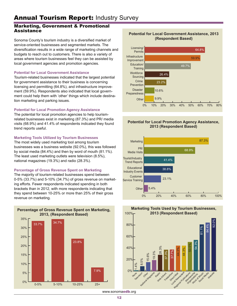# Marketing, Government & Promotional **Assistance**

Sonoma County's tourism industry is a diversified market of service-oriented businesses and segmented markets. The diversification results in a wide range of marketing channels and budgets to reach out to customers. There is also a variety of areas where tourism businesses feel they can be assisted by local government agencies and promotion agencies.

## **Potential for Local Government Assistance**

Tourism-related businesses indicated that the largest potential for government assistance to their business is concerning licensing and permitting (64.8%), and infrastructure improvement (59.9%). Respondents also indicated that local government could help them with 'other' things which include destination marketing and parking issues.

# **Potential for Local Promotion Agency Assistance**

The potential for local promotion agencies to help tourismrelated businesses exist in marketing (87.3%) and PR/ media visits (68.9%) and 41.4% of respondents indicated they found trend reports useful.

# **Marketing Tools Utilized by Tourism Businesses**

The most widely used marketing tool among tourism businesses was a business website (92.0%), this was followed by social media (84.4%) and then by word of mouth (81.1%). The least used marketing outlets were television (8.5%), national magazines (19.3%) and radio (28.3%).

# **Percentage of Gross Revenue Spent on Marketing**

The majority of tourism-related businesses spend between 0-5% (33.7%) and 5-10% (34.7%) of gross revenue on marketing efforts. Fewer respondents indicated spending in both brackets than in 2012, with more respondents indicating that they spend between 10-25% or more than 25% of their gross revenue on marketing.



# **Potential for Local Government Assistance, 2013 (Respondent Based)**



# **Potential for Local Promotion Agency Assistance, 2013 (Respondent Based)**





**Marketing Tools Used by Tourism Businesses,**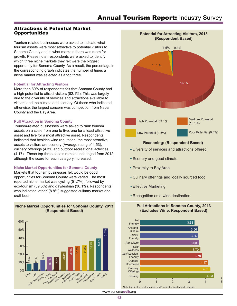# Attractions & Potential Market **Opportunities**

Tourism-related businesses were asked to indicate what tourism assets were most attractive to potential visitors to Sonoma County and in what markets there was room for growth. Please note: respondents were asked to identify which three niche markets they felt were the biggest opportunity for Sonoma County. As a result, the percentage in the corresponding graph indicates the number of times a niche market was selected as a top three.

#### **Potential for Attracting Visitors**

More than 80% of respondents felt that Sonoma County had a high potential to attract visitors (82.1%). This was largely due to the diversity of services and attractions available to visitors and the climate and scenery. Of those who indicated otherwise, the largest concern was competition from Napa County and the Bay Area.

## **Pull Attraction in Sonoma County**

Tourism-related businesses were asked to rank tourism assets on a scale from one to five, one for a least attractive asset and five for a most attractive asset. Respondents indicated that besides wine reputation, the most attractive assets to visitors are scenery (Average rating of 4.53), culinary offerings (4.31) and outdoor recreational activities (4.17). These top-three assets remain unchanged from 2012, although the score for each category increased.

## **Niche Market Opportunities for Sonoma County**

Markets that tourism businesses felt would be good opportunities for Sonoma County were varied. The most reported niche market was cycling (51.7%), followed by eco-tourism (39.5%) and gay/lesbian (36.1%). Respondents who indicated 'other' (8.8%) suggested culinary market and craft beer.







# **Reasoning: (Respondent Based)**

- Diversity of services and attractions offered.
- **Scenery and good climate**
- Proximity to Bay Area
- Culinary offerings and locally sourced food
- **Effective Marketing**
- Recognition as a wine destination

## **Pull Attractions in Sonoma County, 2013 (Excludes Wine, Respondent Based)**

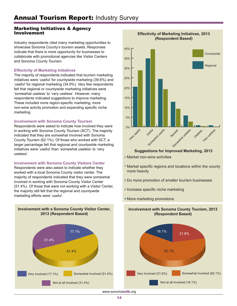# Marketing Initiatives & Agency Involvement

Industry respondents cited many marketing opportunities to showcase Sonoma County's tourism assets. Responses indicate that there is more opportunity for businesses to collaborate with promotional agencies like Visitor Centers and Sonoma County Tourism.

# **Effectivity of Marketing Initiatives**

The majority of respondents indicated that tourism marketing initiatives were 'useful' for countywide marketing (39.6%) and 'useful' for regional marketing (34.9%). Very few respondents felt that regional or countywide marketing initiatives were 'somewhat useless' to 'very useless'. However, many respondents indicated suggestions to improve marketing. These included more region-specific marketing, more non-wine activity promotion and expanding specific niche marketing.

# **Involvement with Sonoma County Tourism**

Respondents were asked to indicate how involved they were in working with Sonoma County Tourism (SCT). The majority indicated that they are somewhat involved with Sonoma County Tourism (62.1%). Of those who worked with SCT, a larger percentage felt that regional and countywide marketing initiatives were 'useful' than 'somewhat useless' to 'very useless'.

# **Involvement with Sonoma County Visitors Center**

Respondents were also asked to indicate whether they worked with a local Sonoma County visitor center. The majority of respondents indicated that they were somewhat involved in working with Sonoma County Visitor Center (51.4%). Of those that were not working with a Visitor Center, the majority still felt that the regional and countywide marketing efforts were 'useful'.

**Involvement with a Sonoma County Visitor Center,** 





#### **Effectivity of Marketing Initiatives, 2013 (Respondent Based)**

# **Suggestions for Improved Marketing, 2013**

- **Market non-wine activities**
- Market specific regions and locations within the county more heavily
- Do more promotion of smaller tourism businesses
- **Increase specific niche marketing**
- More marketing promotions



**Involvement with Sonoma County Tourism, 2013 (Respondent Based)**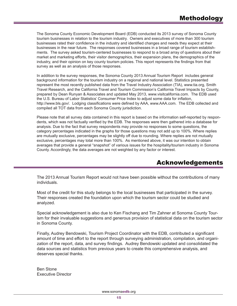The Sonoma County Economic Development Board (EDB) conducted its 2013 survey of Sonoma County tourism businesses in relation to the tourism industry. Owners and executives of more than 300 tourism businesses rated their confidence in the industry and identified changes and needs they expect at their businesses in the near future. The responses covered businesses in a broad range of tourism establishments. The survey asked tourism-centered businesses to respond to a broad array of questions about their market and marketing efforts, their visitor demographics, their expansion plans, the demographics of the industry, and their opinion on key county tourism policies. This report represents the findings from that survey as well as an analysis of those responses.

In addition to the survey responses, the Sonoma County 2013 Annual Tourism Report includes general background information for the tourism industry on a regional and national level. Statistics presented represent the most recently published data from the Travel Industry Association (TIA), www.tia.org, Smith Travel Research, and the California Travel and Tourism Commission's California Travel Impacts by County, prepared by Dean Runyan & Associates and updated May 2013, www.visitcalifornia.com. The EDB used the U.S. Bureau of Labor Statistics' Consumer Price Index to adjust some data for inflation, http://www.bls.gov/. Lodging classifications were defined by AAA, www.AAA.com. The EDB collected and compiled all TOT data from each Sonoma County jurisdiction.

Please note that all survey data contained in this report is based on the information self-reported by respondents, which was not factually verified by the EDB. The responses were then gathered into a database for analysis. Due to the fact that survey respondents may provide no responses to some questions, the category percentages indicated in the graphs for those questions may not add up to 100%. Where replies are mutually exclusive, percentages may be slightly off due to rounding. Where replies are not mutually exclusive, percentages may total more than 100%. As mentioned above, it was our intention to obtain averages that provide a general "snapshot" of various issues for the hospitality/tourism industry in Sonoma County. Accordingly, the data averages are not weighted by any factor or interest.

# Acknowledgements

The 2013 Annual Tourism Report would not have been possible without the contributions of many individuals.

Most of the credit for this study belongs to the local businesses that participated in the survey. Their responses created the foundation upon which the tourism sector could be studied and analyzed.

Special acknowledgement is also due to Ken Fischang and Tim Zahner at Sonoma County Tourism for their invaluable suggestions and generous provision of statistical data on the tourism sector in Sonoma County.

Finally, Audrey Bendowski, Tourism Project Coordinator with the EDB, contributed a significant amount of time and effort to the report through surveying administration, compilation, and organization of the report, data, and survey findings. Audrey Bendowski updated and consolidated the data sources and statistics from previous years to create this comprehensive analysis, and deserves special thanks.

Ben Stone Executive Director